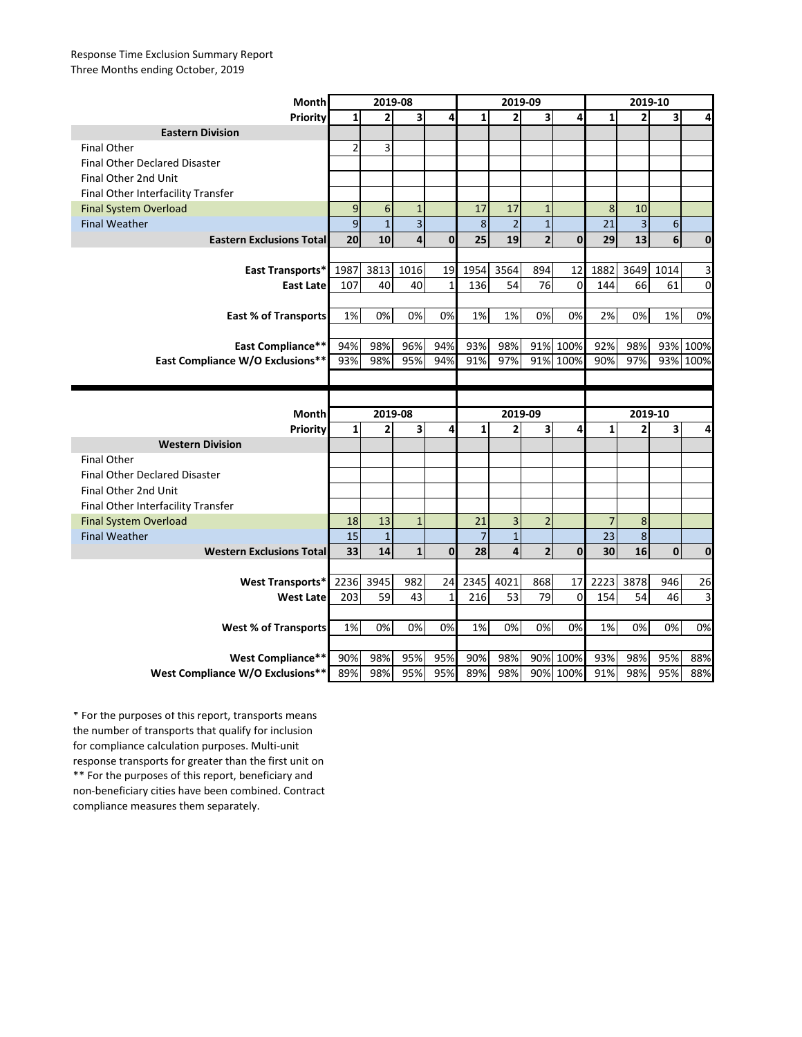## Response Time Exclusion Summary Report Three Months ending October, 2019

| <b>Month</b>                                                       | 2019-08        |                     |                 |             | 2019-09                  |                         |                         |              | 2019-10      |                |                  |                  |
|--------------------------------------------------------------------|----------------|---------------------|-----------------|-------------|--------------------------|-------------------------|-------------------------|--------------|--------------|----------------|------------------|------------------|
| <b>Priority</b>                                                    |                | 2                   | 3               | 4           | 1                        | 2                       | $\overline{\mathbf{3}}$ | 4            | $\mathbf{1}$ | $2 \nvert$     | 3                | 4                |
| <b>Eastern Division</b>                                            |                |                     |                 |             |                          |                         |                         |              |              |                |                  |                  |
| <b>Final Other</b>                                                 | $\overline{2}$ | 3                   |                 |             |                          |                         |                         |              |              |                |                  |                  |
| <b>Final Other Declared Disaster</b>                               |                |                     |                 |             |                          |                         |                         |              |              |                |                  |                  |
| Final Other 2nd Unit                                               |                |                     |                 |             |                          |                         |                         |              |              |                |                  |                  |
| Final Other Interfacility Transfer                                 |                |                     |                 |             |                          |                         |                         |              |              |                |                  |                  |
| <b>Final System Overload</b>                                       | 9              | 6                   | $\mathbf{1}$    |             | 17                       | 17                      | 1                       |              | 8            | 10             |                  |                  |
| <b>Final Weather</b>                                               | $\overline{9}$ | $\mathbf{1}$        | $\vert 3 \vert$ |             | 8                        | $\overline{2}$          | $\mathbf{1}$            |              | 21           | 3              | $6 \overline{6}$ |                  |
| <b>Eastern Exclusions Total</b>                                    | 20             | 10                  | $\vert 4 \vert$ | $\mathbf 0$ | 25                       | 19                      | 2 <sup>1</sup>          | $\mathbf{0}$ | 29           | 13             | $6 \mid$         | $\boldsymbol{0}$ |
|                                                                    |                |                     |                 |             |                          |                         |                         |              |              |                |                  |                  |
| <b>East Transports*</b>                                            | 1987           | 3813                | 1016            | 19          | 1954                     | 3564                    | 894                     | 12           | 1882         | 3649           | 1014             | 3                |
| <b>East Latel</b>                                                  | 107            | 40                  | 40              | 1           | 136                      | 54                      | 76                      | $\Omega$     | 144          | 66             | 61               | $\mathbf 0$      |
|                                                                    |                |                     |                 |             |                          |                         |                         |              |              |                |                  |                  |
| <b>East % of Transports</b>                                        | 1%             | 0%                  | 0%              | 0%          | 1%                       | 1%                      | 0%                      | 0%           | 2%           | 0%             | 1%               | 0%               |
|                                                                    |                |                     |                 |             |                          |                         |                         |              |              |                |                  |                  |
| <b>East Compliance**</b>                                           | 94%            | 98%                 | 96%             | 94%         | 93%                      | 98%                     |                         | 91% 100%     | 92%          | 98%            |                  | 93% 100%         |
| East Compliance W/O Exclusions**                                   | 93%            | 98%                 | 95%             | 94%         | 91%                      | 97%                     |                         | 91% 100%     | 90%          | 97%            |                  | 93% 100%         |
|                                                                    |                |                     |                 |             |                          |                         |                         |              |              |                |                  |                  |
|                                                                    |                |                     |                 |             |                          |                         |                         |              |              |                |                  |                  |
|                                                                    |                |                     |                 |             |                          |                         |                         |              |              |                |                  |                  |
|                                                                    |                |                     |                 |             |                          |                         |                         |              |              |                |                  |                  |
| <b>Month</b>                                                       |                | 2019-08             |                 |             | 1                        | 2019-09                 |                         | 4            | $\mathbf{1}$ | 2019-10        |                  |                  |
| <b>Priority</b>                                                    | 1              | 2                   | 3               | 4           |                          | 2                       | $\overline{\mathbf{3}}$ |              |              | $\overline{2}$ | 3                | 4                |
| <b>Western Division</b><br><b>Final Other</b>                      |                |                     |                 |             |                          |                         |                         |              |              |                |                  |                  |
| <b>Final Other Declared Disaster</b>                               |                |                     |                 |             |                          |                         |                         |              |              |                |                  |                  |
| Final Other 2nd Unit                                               |                |                     |                 |             |                          |                         |                         |              |              |                |                  |                  |
|                                                                    |                |                     |                 |             |                          |                         |                         |              |              |                |                  |                  |
| Final Other Interfacility Transfer<br><b>Final System Overload</b> | 18             | 13                  | $\mathbf{1}$    |             | 21                       | 3                       | $\overline{2}$          |              | 7            | 8              |                  |                  |
| <b>Final Weather</b>                                               |                | $\overline{1}$<br>Ŧ |                 |             | $\overline{\phantom{a}}$ | $\overline{1}$<br>Ŧ     |                         |              |              |                |                  |                  |
| <b>Western Exclusions Total</b>                                    | 15<br>33       | 14                  | $\mathbf{1}$    | $\mathbf 0$ | 28                       | $\overline{\mathbf{4}}$ | $\overline{2}$          | 0            | 23<br>30     | 8<br>16        | $\mathbf 0$      | $\bf{0}$         |
|                                                                    |                |                     |                 |             |                          |                         |                         |              |              |                |                  |                  |
| <b>West Transports*</b>                                            | 2236           | 3945                | 982             | 24          | 2345                     | 4021                    | 868                     | 17           | 2223         | 3878           | 946              | 26               |
| <b>West Late</b>                                                   | 203            | 59                  | 43              | 1           | 216                      | 53                      | 79                      | 0            | 154          | 54             | 46               |                  |
|                                                                    |                |                     |                 |             |                          |                         |                         |              |              |                |                  | 3                |
|                                                                    | 1%             | 0%                  | 0%              | 0%          | 1%                       | 0%                      | 0%                      | 0%           | 1%           | 0%             | 0%               | 0%               |
| <b>West % of Transports</b>                                        |                |                     |                 |             |                          |                         |                         |              |              |                |                  |                  |
| <b>West Compliance**</b>                                           | 90%            | 98%                 | 95%             | 95%         | 90%                      | 98%                     |                         | 90% 100%     | 93%          | 98%            | 95%              | 88%              |

\*\* For the purposes of this report, beneficiary and non-beneficiary cities have been combined. Contract compliance measures them separately. \* For the purposes of this report, transports means the number of transports that qualify for inclusion for compliance calculation purposes. Multi-unit response transports for greater than the first unit on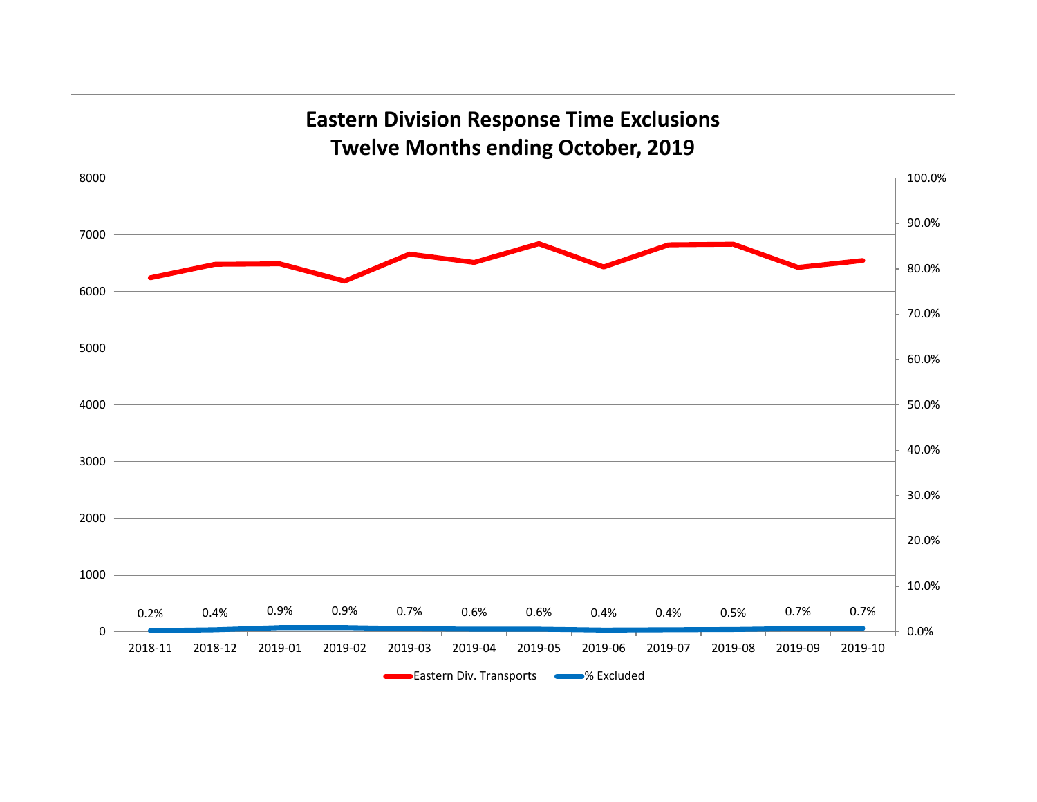